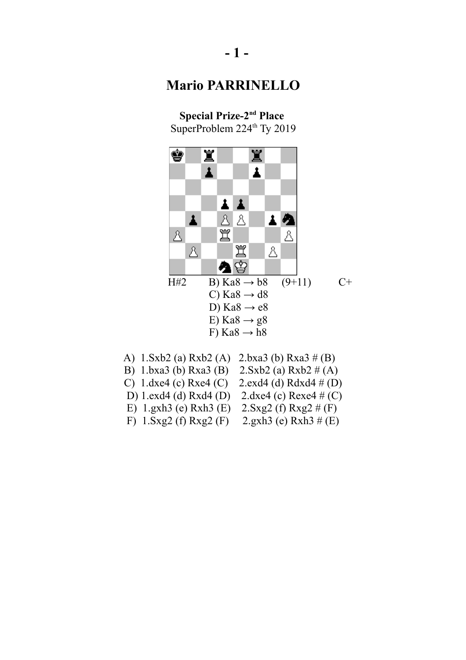**Special Prize-2nd Place** SuperProblem 224<sup>th</sup> Ty 2019



| 2. Sxb2 (a) $Rxb2 \# (A)$<br>B) 1.bxa3 (b) $Rxa3$ (B)<br>C) 1.dxe4 (c) Rxe4 (C)<br>D) $1 \text{.exd}4$ (d) Rxd $4$ (D)<br>E) $1.gxh3$ (e) Rxh3 (E)<br>$2.Sxg2(f) Rxg2 \# (F)$ | A) $1.5xb2$ (a) Rxb2 (A) $2.bxa3$ (b) Rxa3 # (B) |                                                  |
|-------------------------------------------------------------------------------------------------------------------------------------------------------------------------------|--------------------------------------------------|--------------------------------------------------|
|                                                                                                                                                                               |                                                  |                                                  |
|                                                                                                                                                                               |                                                  | 2.exd4 (d) Rdxd4 $\#$ (D)                        |
|                                                                                                                                                                               |                                                  | 2.dxe4 (c) Rexe4 # (C)                           |
|                                                                                                                                                                               |                                                  |                                                  |
|                                                                                                                                                                               | F) $1.5xg2(f) Rxg2(F)$                           | 2.gxh <sub>3</sub> (e) Rxh <sub>3</sub> $\#$ (E) |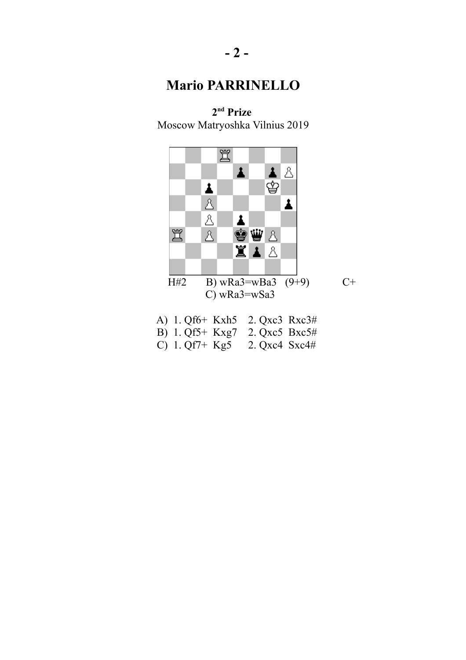**2 nd Prize**  Moscow Matryoshka Vilnius 2019



- B) 1. Qf5+ Kxg7 2. Qxc5 Bxc5#
- C) 1. Qf7+ Kg5 2. Qxc4 Sxc4#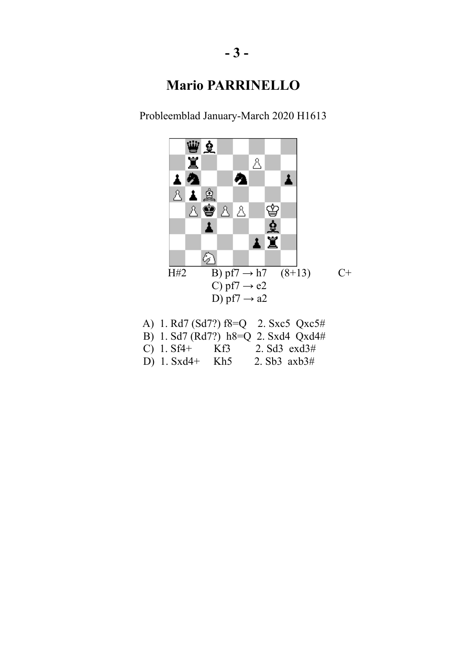Probleemblad January-March 2020 H1613



 A) 1. Rd7 (Sd7?) f8=Q 2. Sxc5 Qxc5# B) 1. Sd7 (Rd7?) h8=Q 2. Sxd4 Qxd4# C) 1. Sf4+ Kf3 2. Sd3 exd3#<br>D) 1. Sxd4+ Kh5 2. Sb3 axb3# D)  $1. Sxd4+$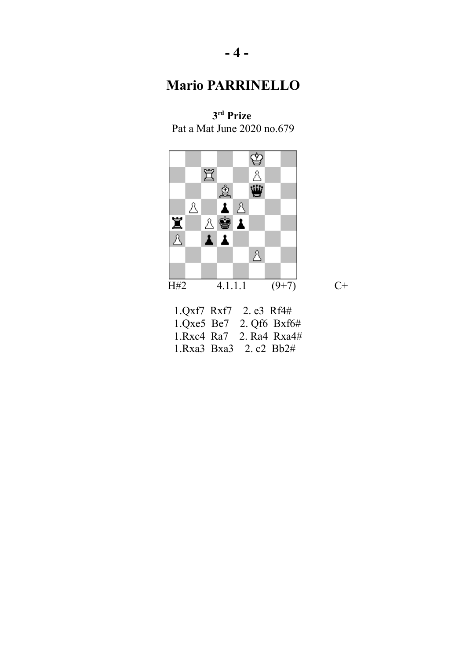♔ 罝  $\Delta$ ₩ ģ  $\mathbb A$ 上区 公安上 Ï  $\Delta$  $\mathbf{r}$  $\blacktriangle$  $\Delta$  $\overline{H42}$  4.1.1.1 (9+7) C+ 1.Qxf7 Rxf7 2. e3 Rf4#

**3 rd Prize** Pat a Mat June 2020 no.679

 1.Qxe5 Be7 2. Qf6 Bxf6# 1.Rxc4 Ra7 2. Ra4 Rxa4# 1.Rxa3 Bxa3 2. c2 Bb2#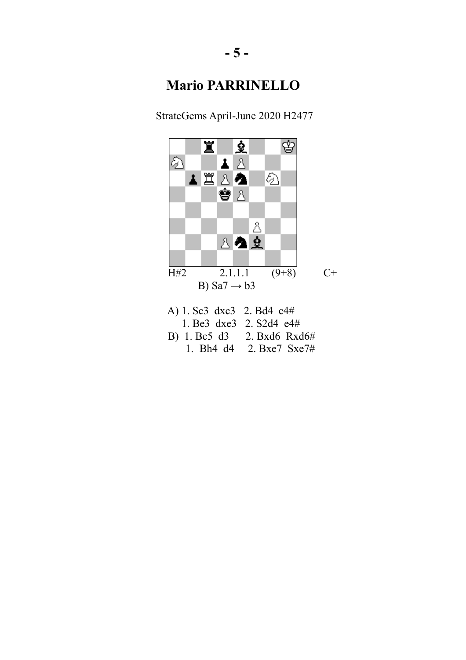StrateGems April-June 2020 H2477